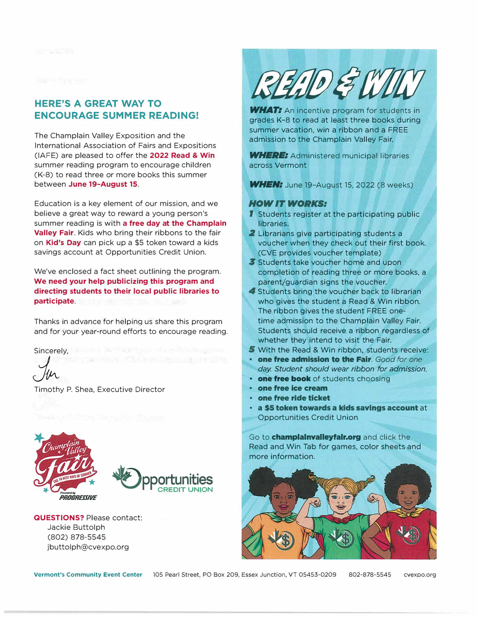## **HERE'S A GREAT WAY TO ENCOURAGE SUMMER READING!**

The Champlain Valley Exposition and the International Association of Fairs and Expositions (IAFE) are pleased to offer the **2022 Read** & **Win**  summer reading program to encourage children (K-8) to read three or more books this summer between **June 19-August 15.** 

Education is a key element of our mission, and we believe a great way to reward a young person's summer reading is with **a free day at the Champlain Valley Fair.** Kids who bring their ribbons to the fair on **Kid's Day** can pick up a \$5 token toward a kids savings account at Opportunities Credit Union.

We've enclosed a fact sheet outlining the program. **We need your help publicizing this program and directing students to their local public libraries to participate**.

Thanks in advance for helping us share this program and for your year-round efforts to encourage reading.

Sincerely, a state of the state of the state of the state of the state of the state of the state of the state of the state of the state of the state of the state of the state of the state of the state of the state of the s

 $\bigcup v \in$ 

Timothy P. Shea, Executive Director



PROGRESSIVE



retains the international or

**QUESTIONS?** Please contact: Jackie Buttolph (802) 878-5545 jbuttolph@cvexpo.org



**WHAT:** An incentive program for students in grades K-8 to read at least three books during summer vacation, win a ribbon and a FREE admission to the Champlain Valley Fair.

*WHERE:* Administered municipal libraries across Vermont

**WHEN:** June 19-August 15, 2022 (8 weeks)

## *HOW IT WORKS:*

- **1** Students register at the participating public libraries.
- 2 Librarians give participating students a voucher when they check out their first book. (CVE provides voucher template)
- **3** Students take voucher home and upon completion of reading three or more books, a parent/guardian signs the voucher.
- *4* Students bring the voucher back to librarian who gives the student a Read & Win ribbon. The ribbon gives the student FREE onetime admission to the Champlain Valley Fair. Students should receive a ribbon regardless of whether they intend to visit the Fair.
- *5* With the Read & Win ribbon, students receive:
- **• one free admission to the Fair.** *Good for one day Student should wear ribbon for admission.*
- **• one free book** of students choosing
- **• one free ice cream**
- **• one free ride ticket**
- **a \$5 token towards a kids savings account** at Opportunities Credit Union

Go to **champlalnvalleyfalr.org** and click the Read and Win Tab for games, color sheets and more information.



**Vermont's Community Event Center** 105 Pearl Street, PO Box 209, Essex Junction, VT 05453-0209 802-878-5545 cvexpo.org